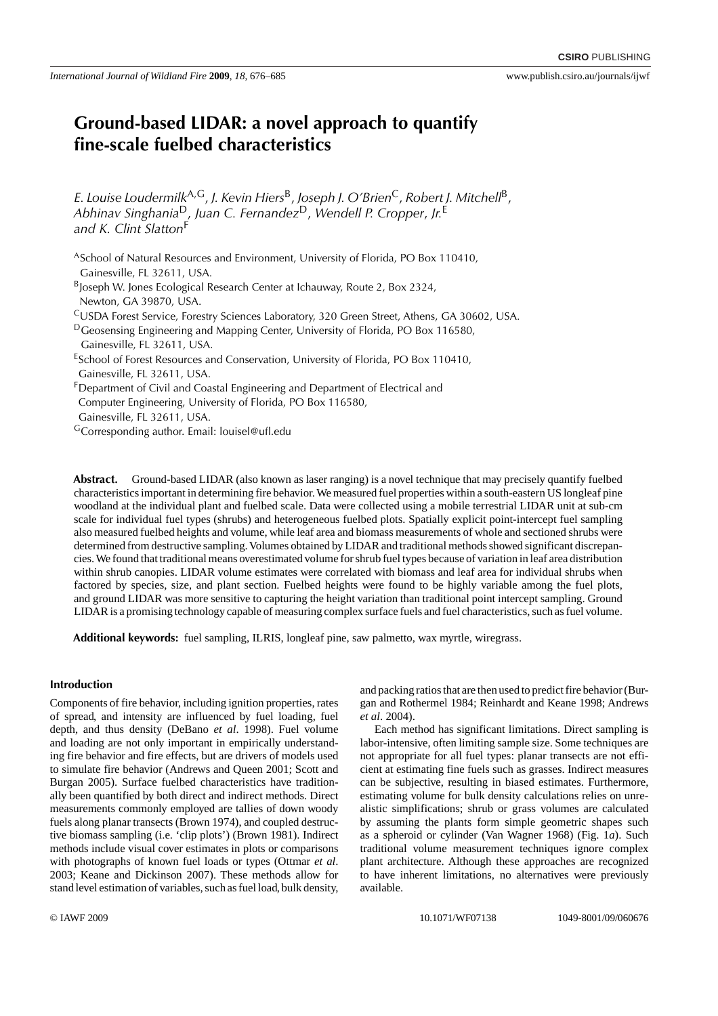# **Ground-based LIDAR: a novel approach to quantify fine-scale fuelbed characteristics**

*E. Louise Loudermilk*A,G, *J. Kevin Hiers*B, *Joseph J. O'Brien*C, *Robert J. Mitchell*B, *Abhinav Singhania*D, *Juan C. Fernandez*D, *Wendell P. Cropper*, *Jr.*<sup>E</sup> and K. Clint Slatton<sup>F</sup>

- ASchool of Natural Resources and Environment, University of Florida, PO Box 110410, Gainesville, FL 32611, USA.
- BJoseph W. Jones Ecological Research Center at Ichauway, Route 2, Box 2324, Newton, GA 39870, USA.
- CUSDA Forest Service, Forestry Sciences Laboratory, 320 Green Street, Athens, GA 30602, USA.
- <sup>D</sup>Geosensing Engineering and Mapping Center, University of Florida, PO Box 116580, Gainesville, FL 32611, USA.
- ESchool of Forest Resources and Conservation, University of Florida, PO Box 110410, Gainesville, FL 32611, USA.
- FDepartment of Civil and Coastal Engineering and Department of Electrical and Computer Engineering, University of Florida, PO Box 116580, Gainesville, FL 32611, USA.
- <sup>G</sup>Corresponding author. Email: [louisel@ufl.edu](mailto: louisel@ufl.edu)

**Abstract.** Ground-based LIDAR (also known as laser ranging) is a novel technique that may precisely quantify fuelbed characteristics important in determining fire behavior. We measured fuel properties within a south-eastern US longleaf pine woodland at the individual plant and fuelbed scale. Data were collected using a mobile terrestrial LIDAR unit at sub-cm scale for individual fuel types (shrubs) and heterogeneous fuelbed plots. Spatially explicit point-intercept fuel sampling also measured fuelbed heights and volume, while leaf area and biomass measurements of whole and sectioned shrubs were determined from destructive sampling.Volumes obtained by LIDAR and traditional methods showed significant discrepancies. We found that traditional means overestimated volume for shrub fuel types because of variation in leaf area distribution within shrub canopies. LIDAR volume estimates were correlated with biomass and leaf area for individual shrubs when factored by species, size, and plant section. Fuelbed heights were found to be highly variable among the fuel plots, and ground LIDAR was more sensitive to capturing the height variation than traditional point intercept sampling. Ground LIDAR is a promising technology capable of measuring complex surface fuels and fuel characteristics, such as fuel volume.

**Additional keywords:** fuel sampling, ILRIS, longleaf pine, saw palmetto, wax myrtle, wiregrass.

## **Introduction**

Components of fire behavior, including ignition properties, rates of spread, and intensity are influenced by fuel loading, fuel depth, and thus density (DeBano *et al*. 1998). Fuel volume and loading are not only important in empirically understanding fire behavior and fire effects, but are drivers of models used to simulate fire behavior (Andrews and Queen 2001; Scott and Burgan 2005). Surface fuelbed characteristics have traditionally been quantified by both direct and indirect methods. Direct measurements commonly employed are tallies of down woody fuels along planar transects (Brown 1974), and coupled destructive biomass sampling (i.e. 'clip plots') (Brown 1981). Indirect methods include visual cover estimates in plots or comparisons with photographs of known fuel loads or types (Ottmar *et al*. 2003; Keane and Dickinson 2007). These methods allow for stand level estimation of variables, such as fuel load, bulk density,

and packing ratios that are then used to predict fire behavior (Burgan and Rothermel 1984; Reinhardt and Keane 1998; Andrews *et al*. 2004).

Each method has significant limitations. Direct sampling is labor-intensive, often limiting sample size. Some techniques are not appropriate for all fuel types: planar transects are not efficient at estimating fine fuels such as grasses. Indirect measures can be subjective, resulting in biased estimates. Furthermore, estimating volume for bulk density calculations relies on unrealistic simplifications; shrub or grass volumes are calculated by assuming the plants form simple geometric shapes such as a spheroid or cylinder (Van Wagner 1968) (Fig. 1*a*). Such traditional volume measurement techniques ignore complex plant architecture. Although these approaches are recognized to have inherent limitations, no alternatives were previously available.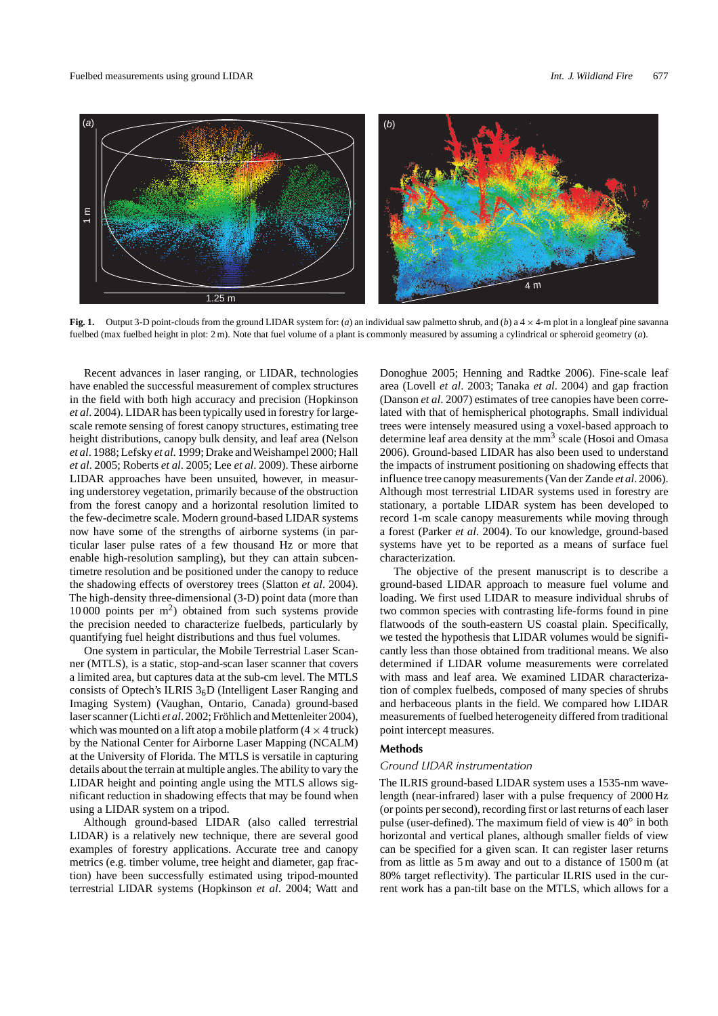

**Fig. 1.** Output 3-D point-clouds from the ground LIDAR system for: (*a*) an individual saw palmetto shrub, and (*b*)a4 × 4-m plot in a longleaf pine savanna fuelbed (max fuelbed height in plot: 2 m). Note that fuel volume of a plant is commonly measured by assuming a cylindrical or spheroid geometry (*a*).

Recent advances in laser ranging, or LIDAR, technologies have enabled the successful measurement of complex structures in the field with both high accuracy and precision (Hopkinson *et al*. 2004). LIDAR has been typically used in forestry for largescale remote sensing of forest canopy structures, estimating tree height distributions, canopy bulk density, and leaf area (Nelson *et al*. 1988; Lefsky *et al*. 1999; Drake andWeishampel 2000; Hall *et al*. 2005; Roberts *et al*. 2005; Lee *et al*. 2009). These airborne LIDAR approaches have been unsuited, however, in measuring understorey vegetation, primarily because of the obstruction from the forest canopy and a horizontal resolution limited to the few-decimetre scale. Modern ground-based LIDAR systems now have some of the strengths of airborne systems (in particular laser pulse rates of a few thousand Hz or more that enable high-resolution sampling), but they can attain subcentimetre resolution and be positioned under the canopy to reduce the shadowing effects of overstorey trees (Slatton *et al*. 2004). The high-density three-dimensional (3-D) point data (more than 10 000 points per m2) obtained from such systems provide the precision needed to characterize fuelbeds, particularly by quantifying fuel height distributions and thus fuel volumes.

One system in particular, the Mobile Terrestrial Laser Scanner (MTLS), is a static, stop-and-scan laser scanner that covers a limited area, but captures data at the sub-cm level. The MTLS consists of Optech's ILRIS  $3<sub>6</sub>D$  (Intelligent Laser Ranging and Imaging System) (Vaughan, Ontario, Canada) ground-based laser scanner (Lichti *et al*. 2002; Fröhlich and Mettenleiter 2004), which was mounted on a lift atop a mobile platform  $(4 \times 4$  truck) by the National Center for Airborne Laser Mapping (NCALM) at the University of Florida. The MTLS is versatile in capturing details about the terrain at multiple angles.The ability to vary the LIDAR height and pointing angle using the MTLS allows significant reduction in shadowing effects that may be found when using a LIDAR system on a tripod.

Although ground-based LIDAR (also called terrestrial LIDAR) is a relatively new technique, there are several good examples of forestry applications. Accurate tree and canopy metrics (e.g. timber volume, tree height and diameter, gap fraction) have been successfully estimated using tripod-mounted terrestrial LIDAR systems (Hopkinson *et al*. 2004; Watt and Donoghue 2005; Henning and Radtke 2006). Fine-scale leaf area (Lovell *et al*. 2003; Tanaka *et al*. 2004) and gap fraction (Danson *et al*. 2007) estimates of tree canopies have been correlated with that of hemispherical photographs. Small individual trees were intensely measured using a voxel-based approach to determine leaf area density at the mm<sup>3</sup> scale (Hosoi and Omasa 2006). Ground-based LIDAR has also been used to understand the impacts of instrument positioning on shadowing effects that influence tree canopy measurements (Van der Zande *et al*. 2006). Although most terrestrial LIDAR systems used in forestry are stationary, a portable LIDAR system has been developed to record 1-m scale canopy measurements while moving through a forest (Parker *et al*. 2004). To our knowledge, ground-based systems have yet to be reported as a means of surface fuel characterization.

The objective of the present manuscript is to describe a ground-based LIDAR approach to measure fuel volume and loading. We first used LIDAR to measure individual shrubs of two common species with contrasting life-forms found in pine flatwoods of the south-eastern US coastal plain. Specifically, we tested the hypothesis that LIDAR volumes would be significantly less than those obtained from traditional means. We also determined if LIDAR volume measurements were correlated with mass and leaf area. We examined LIDAR characterization of complex fuelbeds, composed of many species of shrubs and herbaceous plants in the field. We compared how LIDAR measurements of fuelbed heterogeneity differed from traditional point intercept measures.

#### **Methods**

#### *Ground LIDAR instrumentation*

The ILRIS ground-based LIDAR system uses a 1535-nm wavelength (near-infrared) laser with a pulse frequency of 2000 Hz (or points per second), recording first or last returns of each laser pulse (user-defined). The maximum field of view is 40◦ in both horizontal and vertical planes, although smaller fields of view can be specified for a given scan. It can register laser returns from as little as 5 m away and out to a distance of 1500 m (at 80% target reflectivity). The particular ILRIS used in the current work has a pan-tilt base on the MTLS, which allows for a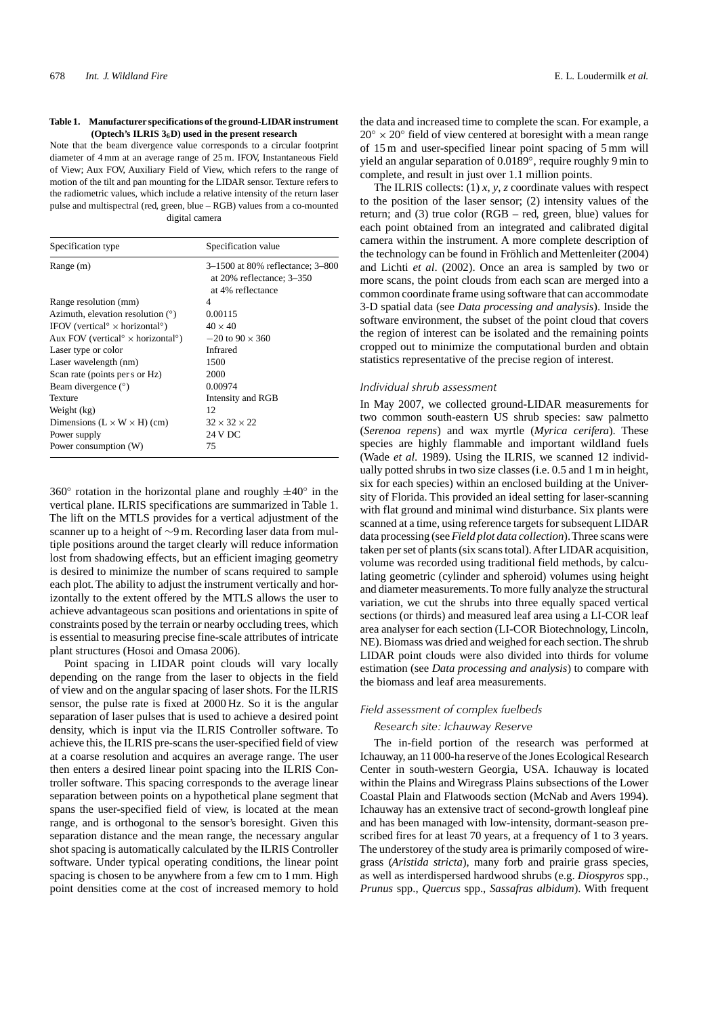#### **Table 1. Manufacturer specifications of the ground-LIDAR instrument (Optech's ILRIS 36D) used in the present research**

Note that the beam divergence value corresponds to a circular footprint diameter of 4 mm at an average range of 25 m. IFOV, Instantaneous Field of View; Aux FOV, Auxiliary Field of View, which refers to the range of motion of the tilt and pan mounting for the LIDAR sensor. Texture refers to the radiometric values, which include a relative intensity of the return laser pulse and multispectral (red, green, blue – RGB) values from a co-mounted digital camera

| Specification type                                                | Specification value                                                                     |
|-------------------------------------------------------------------|-----------------------------------------------------------------------------------------|
| Range (m)                                                         | 3-1500 at 80% reflectance; 3-800<br>at $20\%$ reflectance; $3-350$<br>at 4% reflectance |
| Range resolution (mm)                                             | 4                                                                                       |
| Azimuth, elevation resolution $(°)$                               | 0.00115                                                                                 |
| IFOV (vertical $\degree$ x horizontal $\degree$ )                 | $40 \times 40$                                                                          |
| Aux FOV (vertical <sup>o</sup> $\times$ horizontal <sup>o</sup> ) | $-20$ to 90 $\times$ 360                                                                |
| Laser type or color                                               | <b>Infrared</b>                                                                         |
| Laser wavelength (nm)                                             | 1500                                                                                    |
| Scan rate (points per s or Hz)                                    | 2000                                                                                    |
| Beam divergence $(°)$                                             | 0.00974                                                                                 |
| <b>Texture</b>                                                    | Intensity and RGB                                                                       |
| Weight (kg)                                                       | 12                                                                                      |
| Dimensions $(L \times W \times H)$ (cm)                           | $32 \times 32 \times 22$                                                                |
| Power supply                                                      | 24 V DC                                                                                 |
| Power consumption (W)                                             | 75                                                                                      |

360 $\degree$  rotation in the horizontal plane and roughly  $\pm 40\degree$  in the vertical plane. ILRIS specifications are summarized in Table 1. The lift on the MTLS provides for a vertical adjustment of the scanner up to a height of ∼9 m. Recording laser data from multiple positions around the target clearly will reduce information lost from shadowing effects, but an efficient imaging geometry is desired to minimize the number of scans required to sample each plot. The ability to adjust the instrument vertically and horizontally to the extent offered by the MTLS allows the user to achieve advantageous scan positions and orientations in spite of constraints posed by the terrain or nearby occluding trees, which is essential to measuring precise fine-scale attributes of intricate plant structures (Hosoi and Omasa 2006).

Point spacing in LIDAR point clouds will vary locally depending on the range from the laser to objects in the field of view and on the angular spacing of laser shots. For the ILRIS sensor, the pulse rate is fixed at 2000 Hz. So it is the angular separation of laser pulses that is used to achieve a desired point density, which is input via the ILRIS Controller software. To achieve this, the ILRIS pre-scans the user-specified field of view at a coarse resolution and acquires an average range. The user then enters a desired linear point spacing into the ILRIS Controller software. This spacing corresponds to the average linear separation between points on a hypothetical plane segment that spans the user-specified field of view, is located at the mean range, and is orthogonal to the sensor's boresight. Given this separation distance and the mean range, the necessary angular shot spacing is automatically calculated by the ILRIS Controller software. Under typical operating conditions, the linear point spacing is chosen to be anywhere from a few cm to 1 mm. High point densities come at the cost of increased memory to hold

the data and increased time to complete the scan. For example, a  $20\degree \times 20\degree$  field of view centered at boresight with a mean range of 15 m and user-specified linear point spacing of 5 mm will yield an angular separation of 0.0189◦, require roughly 9 min to complete, and result in just over 1.1 million points.

The ILRIS collects: (1) *x*, *y*, *z* coordinate values with respect to the position of the laser sensor; (2) intensity values of the return; and (3) true color (RGB – red, green, blue) values for each point obtained from an integrated and calibrated digital camera within the instrument. A more complete description of the technology can be found in Fröhlich and Mettenleiter (2004) and Lichti *et al*. (2002). Once an area is sampled by two or more scans, the point clouds from each scan are merged into a common coordinate frame using software that can accommodate 3-D spatial data (see *Data processing and analysis*). Inside the software environment, the subset of the point cloud that covers the region of interest can be isolated and the remaining points cropped out to minimize the computational burden and obtain statistics representative of the precise region of interest.

### *Individual shrub assessment*

In May 2007, we collected ground-LIDAR measurements for two common south-eastern US shrub species: saw palmetto (*Serenoa repens*) and wax myrtle (*Myrica cerifera*). These species are highly flammable and important wildland fuels (Wade *et al*. 1989). Using the ILRIS, we scanned 12 individually potted shrubs in two size classes (i.e. 0.5 and 1 m in height, six for each species) within an enclosed building at the University of Florida. This provided an ideal setting for laser-scanning with flat ground and minimal wind disturbance. Six plants were scanned at a time, using reference targets for subsequent LIDAR data processing (see *Field plot data collection*).Three scans were taken per set of plants (six scans total). After LIDAR acquisition, volume was recorded using traditional field methods, by calculating geometric (cylinder and spheroid) volumes using height and diameter measurements. To more fully analyze the structural variation, we cut the shrubs into three equally spaced vertical sections (or thirds) and measured leaf area using a LI-COR leaf area analyser for each section (LI-COR Biotechnology, Lincoln, NE). Biomass was dried and weighed for each section.The shrub LIDAR point clouds were also divided into thirds for volume estimation (see *Data processing and analysis*) to compare with the biomass and leaf area measurements.

## *Field assessment of complex fuelbeds*

## *Research site: Ichauway Reserve*

The in-field portion of the research was performed at Ichauway, an 11 000-ha reserve of the Jones Ecological Research Center in south-western Georgia, USA. Ichauway is located within the Plains and Wiregrass Plains subsections of the Lower Coastal Plain and Flatwoods section (McNab and Avers 1994). Ichauway has an extensive tract of second-growth longleaf pine and has been managed with low-intensity, dormant-season prescribed fires for at least 70 years, at a frequency of 1 to 3 years. The understorey of the study area is primarily composed of wiregrass (*Aristida stricta*), many forb and prairie grass species, as well as interdispersed hardwood shrubs (e.g. *Diospyros* spp., *Prunus* spp., *Quercus* spp., *Sassafras albidum*). With frequent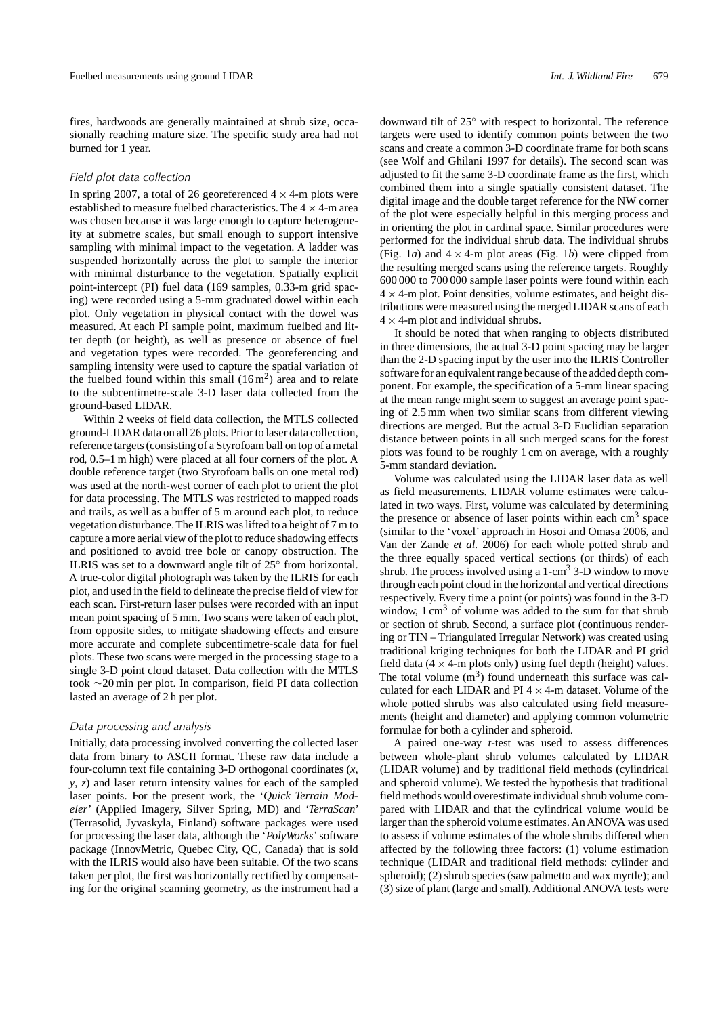fires, hardwoods are generally maintained at shrub size, occasionally reaching mature size. The specific study area had not burned for 1 year.

### *Field plot data collection*

In spring 2007, a total of 26 georeferenced  $4 \times 4$ -m plots were established to measure fuelbed characteristics. The  $4 \times 4$ -m area was chosen because it was large enough to capture heterogeneity at submetre scales, but small enough to support intensive sampling with minimal impact to the vegetation. A ladder was suspended horizontally across the plot to sample the interior with minimal disturbance to the vegetation. Spatially explicit point-intercept (PI) fuel data (169 samples, 0.33-m grid spacing) were recorded using a 5-mm graduated dowel within each plot. Only vegetation in physical contact with the dowel was measured. At each PI sample point, maximum fuelbed and litter depth (or height), as well as presence or absence of fuel and vegetation types were recorded. The georeferencing and sampling intensity were used to capture the spatial variation of the fuelbed found within this small  $(16 \text{ m}^2)$  area and to relate to the subcentimetre-scale 3-D laser data collected from the ground-based LIDAR.

Within 2 weeks of field data collection, the MTLS collected ground-LIDAR data on all 26 plots. Prior to laser data collection, reference targets (consisting of a Styrofoam ball on top of a metal rod, 0.5–1 m high) were placed at all four corners of the plot. A double reference target (two Styrofoam balls on one metal rod) was used at the north-west corner of each plot to orient the plot for data processing. The MTLS was restricted to mapped roads and trails, as well as a buffer of 5 m around each plot, to reduce vegetation disturbance.The ILRIS was lifted to a height of 7 m to capture a more aerial view of the plot to reduce shadowing effects and positioned to avoid tree bole or canopy obstruction. The ILRIS was set to a downward angle tilt of 25◦ from horizontal. A true-color digital photograph was taken by the ILRIS for each plot, and used in the field to delineate the precise field of view for each scan. First-return laser pulses were recorded with an input mean point spacing of 5 mm. Two scans were taken of each plot, from opposite sides, to mitigate shadowing effects and ensure more accurate and complete subcentimetre-scale data for fuel plots. These two scans were merged in the processing stage to a single 3-D point cloud dataset. Data collection with the MTLS took ∼20 min per plot. In comparison, field PI data collection lasted an average of 2 h per plot.

#### *Data processing and analysis*

Initially, data processing involved converting the collected laser data from binary to ASCII format. These raw data include a four-column text file containing 3-D orthogonal coordinates (*x*, *y*, *z*) and laser return intensity values for each of the sampled laser points. For the present work, the '*Quick Terrain Modeler*' (Applied Imagery, Silver Spring, MD) and '*TerraScan*' (Terrasolid, Jyvaskyla, Finland) software packages were used for processing the laser data, although the '*PolyWorks*' software package (InnovMetric, Quebec City, QC, Canada) that is sold with the ILRIS would also have been suitable. Of the two scans taken per plot, the first was horizontally rectified by compensating for the original scanning geometry, as the instrument had a downward tilt of 25◦ with respect to horizontal. The reference targets were used to identify common points between the two scans and create a common 3-D coordinate frame for both scans (see Wolf and Ghilani 1997 for details). The second scan was adjusted to fit the same 3-D coordinate frame as the first, which combined them into a single spatially consistent dataset. The digital image and the double target reference for the NW corner of the plot were especially helpful in this merging process and in orienting the plot in cardinal space. Similar procedures were performed for the individual shrub data. The individual shrubs (Fig. 1*a*) and  $4 \times 4$ -m plot areas (Fig. 1*b*) were clipped from the resulting merged scans using the reference targets. Roughly 600 000 to 700 000 sample laser points were found within each  $4 \times 4$ -m plot. Point densities, volume estimates, and height distributions were measured using the merged LIDAR scans of each  $4 \times 4$ -m plot and individual shrubs.

It should be noted that when ranging to objects distributed in three dimensions, the actual 3-D point spacing may be larger than the 2-D spacing input by the user into the ILRIS Controller software for an equivalent range because of the added depth component. For example, the specification of a 5-mm linear spacing at the mean range might seem to suggest an average point spacing of 2.5 mm when two similar scans from different viewing directions are merged. But the actual 3-D Euclidian separation distance between points in all such merged scans for the forest plots was found to be roughly 1 cm on average, with a roughly 5-mm standard deviation.

Volume was calculated using the LIDAR laser data as well as field measurements. LIDAR volume estimates were calculated in two ways. First, volume was calculated by determining the presence or absence of laser points within each  $\text{cm}^3$  space (similar to the 'voxel' approach in Hosoi and Omasa 2006, and Van der Zande *et al.* 2006) for each whole potted shrub and the three equally spaced vertical sections (or thirds) of each shrub. The process involved using a  $1$ -cm<sup>3</sup> 3-D window to move through each point cloud in the horizontal and vertical directions respectively. Every time a point (or points) was found in the 3-D window,  $1 \text{ cm}^3$  of volume was added to the sum for that shrub or section of shrub. Second, a surface plot (continuous rendering or TIN – Triangulated Irregular Network) was created using traditional kriging techniques for both the LIDAR and PI grid field data ( $4 \times 4$ -m plots only) using fuel depth (height) values. The total volume  $(m<sup>3</sup>)$  found underneath this surface was calculated for each LIDAR and PI  $4 \times 4$ -m dataset. Volume of the whole potted shrubs was also calculated using field measurements (height and diameter) and applying common volumetric formulae for both a cylinder and spheroid.

A paired one-way *t*-test was used to assess differences between whole-plant shrub volumes calculated by LIDAR (LIDAR volume) and by traditional field methods (cylindrical and spheroid volume). We tested the hypothesis that traditional field methods would overestimate individual shrub volume compared with LIDAR and that the cylindrical volume would be larger than the spheroid volume estimates. An ANOVA was used to assess if volume estimates of the whole shrubs differed when affected by the following three factors: (1) volume estimation technique (LIDAR and traditional field methods: cylinder and spheroid); (2) shrub species (saw palmetto and wax myrtle); and (3) size of plant (large and small). Additional ANOVA tests were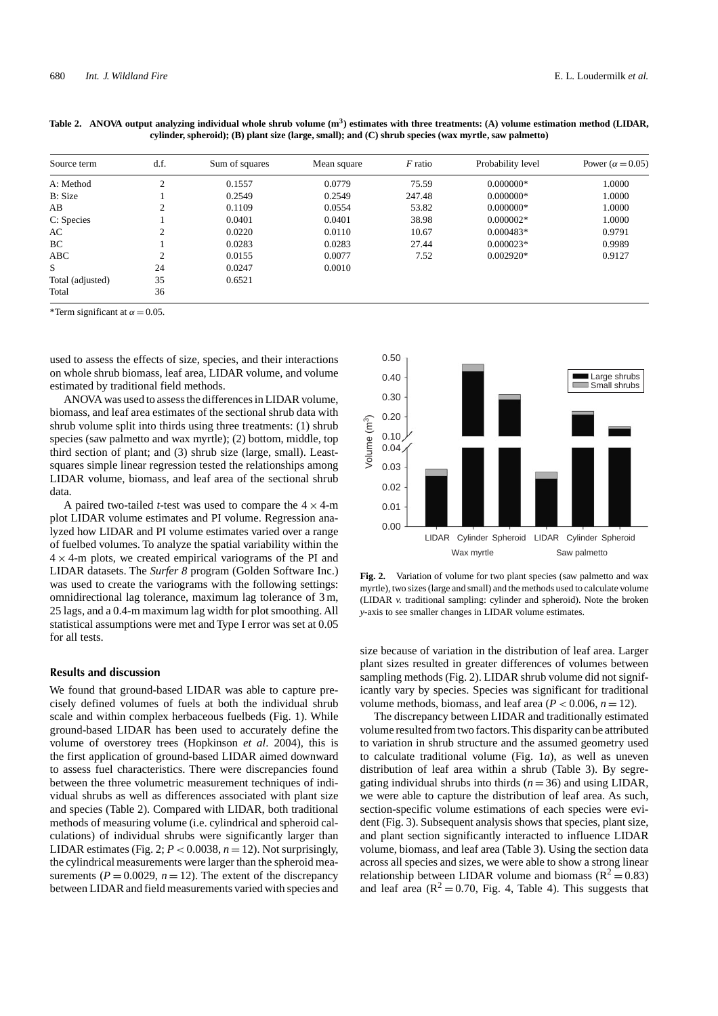| Source term      | d.f. | Sum of squares | Mean square | $F$ ratio | Probability level | Power ( $\alpha$ = 0.05) |
|------------------|------|----------------|-------------|-----------|-------------------|--------------------------|
| A: Method        | ◠    | 0.1557         | 0.0779      | 75.59     | $0.000000*$       | 1.0000                   |
| B: Size          |      | 0.2549         | 0.2549      | 247.48    | $0.000000*$       | 1.0000                   |
| AВ               |      | 0.1109         | 0.0554      | 53.82     | $0.000000*$       | 1.0000                   |
| C: Species       |      | 0.0401         | 0.0401      | 38.98     | $0.000002*$       | 1.0000                   |
| AC               |      | 0.0220         | 0.0110      | 10.67     | $0.000483*$       | 0.9791                   |
| BC               |      | 0.0283         | 0.0283      | 27.44     | $0.000023*$       | 0.9989                   |
| <b>ABC</b>       |      | 0.0155         | 0.0077      | 7.52      | $0.002920*$       | 0.9127                   |
| S                | 24   | 0.0247         | 0.0010      |           |                   |                          |
| Total (adjusted) | 35   | 0.6521         |             |           |                   |                          |
| Total            | 36   |                |             |           |                   |                          |

Table 2. ANOVA output analyzing individual whole shrub volume (m<sup>3</sup>) estimates with three treatments: (A) volume estimation method (LIDAR, **cylinder, spheroid); (B) plant size (large, small); and (C) shrub species (wax myrtle, saw palmetto)**

\*Term significant at  $\alpha$  = 0.05.

used to assess the effects of size, species, and their interactions on whole shrub biomass, leaf area, LIDAR volume, and volume estimated by traditional field methods.

ANOVA was used to assess the differences in LIDAR volume, biomass, and leaf area estimates of the sectional shrub data with shrub volume split into thirds using three treatments: (1) shrub species (saw palmetto and wax myrtle); (2) bottom, middle, top third section of plant; and (3) shrub size (large, small). Leastsquares simple linear regression tested the relationships among LIDAR volume, biomass, and leaf area of the sectional shrub data.

A paired two-tailed *t*-test was used to compare the  $4 \times 4$ -m plot LIDAR volume estimates and PI volume. Regression analyzed how LIDAR and PI volume estimates varied over a range of fuelbed volumes. To analyze the spatial variability within the  $4 \times 4$ -m plots, we created empirical variograms of the PI and LIDAR datasets. The *Surfer 8* program (Golden Software Inc.) was used to create the variograms with the following settings: omnidirectional lag tolerance, maximum lag tolerance of 3 m, 25 lags, and a 0.4-m maximum lag width for plot smoothing. All statistical assumptions were met and Type I error was set at 0.05 for all tests.

## **Results and discussion**

We found that ground-based LIDAR was able to capture precisely defined volumes of fuels at both the individual shrub scale and within complex herbaceous fuelbeds (Fig. 1). While ground-based LIDAR has been used to accurately define the volume of overstorey trees (Hopkinson *et al*. 2004), this is the first application of ground-based LIDAR aimed downward to assess fuel characteristics. There were discrepancies found between the three volumetric measurement techniques of individual shrubs as well as differences associated with plant size and species (Table 2). Compared with LIDAR, both traditional methods of measuring volume (i.e. cylindrical and spheroid calculations) of individual shrubs were significantly larger than LIDAR estimates (Fig. 2;  $P < 0.0038$ ,  $n = 12$ ). Not surprisingly, the cylindrical measurements were larger than the spheroid measurements ( $P = 0.0029$ ,  $n = 12$ ). The extent of the discrepancy between LIDAR and field measurements varied with species and



Fig. 2. Variation of volume for two plant species (saw palmetto and wax myrtle), two sizes (large and small) and the methods used to calculate volume (LIDAR *v.* traditional sampling: cylinder and spheroid). Note the broken *y*-axis to see smaller changes in LIDAR volume estimates.

size because of variation in the distribution of leaf area. Larger plant sizes resulted in greater differences of volumes between sampling methods (Fig. 2). LIDAR shrub volume did not significantly vary by species. Species was significant for traditional volume methods, biomass, and leaf area  $(P < 0.006, n = 12)$ .

The discrepancy between LIDAR and traditionally estimated volume resulted from two factors.This disparity can be attributed to variation in shrub structure and the assumed geometry used to calculate traditional volume (Fig. 1*a*), as well as uneven distribution of leaf area within a shrub (Table 3). By segregating individual shrubs into thirds  $(n = 36)$  and using LIDAR, we were able to capture the distribution of leaf area. As such, section-specific volume estimations of each species were evident (Fig. 3). Subsequent analysis shows that species, plant size, and plant section significantly interacted to influence LIDAR volume, biomass, and leaf area (Table 3). Using the section data across all species and sizes, we were able to show a strong linear relationship between LIDAR volume and biomass ( $R^2 = 0.83$ ) and leaf area ( $R^2 = 0.70$ , Fig. 4, Table 4). This suggests that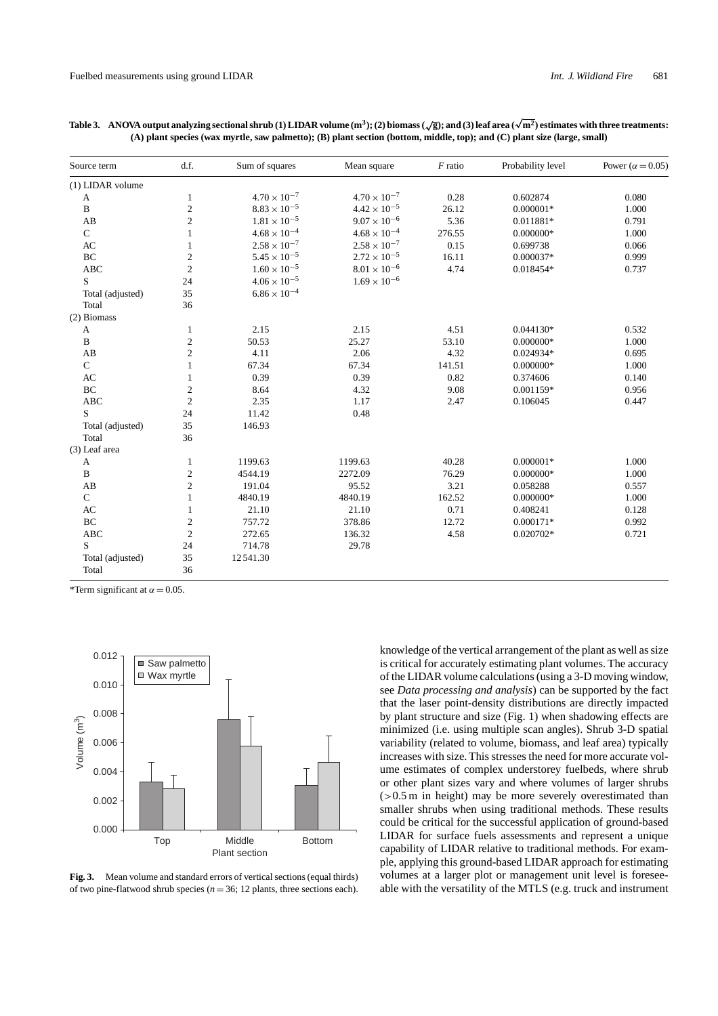| Source term            | d.f.                    | Sum of squares        | Mean square           | $F$ ratio | Probability level | Power ( $\alpha$ = 0.05) |
|------------------------|-------------------------|-----------------------|-----------------------|-----------|-------------------|--------------------------|
| (1) LIDAR volume       |                         |                       |                       |           |                   |                          |
| A                      | $\mathbf{1}$            | $4.70 \times 10^{-7}$ | $4.70 \times 10^{-7}$ | 0.28      | 0.602874          | 0.080                    |
| $\, {\bf B}$           | $\sqrt{2}$              | $8.83 \times 10^{-5}$ | $4.42 \times 10^{-5}$ | 26.12     | $0.000001*$       | 1.000                    |
| AB                     | $\sqrt{2}$              | $1.81 \times 10^{-5}$ | $9.07\times10^{-6}$   | 5.36      | 0.011881*         | 0.791                    |
| $\mathbf C$            | $\mathbf{1}$            | $4.68 \times 10^{-4}$ | $4.68 \times 10^{-4}$ | 276.55    | $0.000000*$       | 1.000                    |
| AC                     | $\mathbf{1}$            | $2.58 \times 10^{-7}$ | $2.58 \times 10^{-7}$ | 0.15      | 0.699738          | 0.066                    |
| $\rm BC$               | $\sqrt{2}$              | $5.45 \times 10^{-5}$ | $2.72 \times 10^{-5}$ | 16.11     | 0.000037*         | 0.999                    |
| <b>ABC</b>             | $\overline{c}$          | $1.60 \times 10^{-5}$ | $8.01\times10^{-6}$   | 4.74      | 0.018454*         | 0.737                    |
| S                      | 24                      | $4.06 \times 10^{-5}$ | $1.69 \times 10^{-6}$ |           |                   |                          |
| Total (adjusted)       | 35                      | $6.86 \times 10^{-4}$ |                       |           |                   |                          |
| Total                  | 36                      |                       |                       |           |                   |                          |
| (2) Biomass            |                         |                       |                       |           |                   |                          |
| A                      | 1                       | 2.15                  | 2.15                  | 4.51      | $0.044130*$       | 0.532                    |
| B                      | $\overline{\mathbf{c}}$ | 50.53                 | 25.27                 | 53.10     | $0.000000*$       | 1.000                    |
| AB                     | $\overline{c}$          | 4.11                  | 2.06                  | 4.32      | $0.024934*$       | 0.695                    |
| $\mathbf C$            | $\mathbf{1}$            | 67.34                 | 67.34                 | 141.51    | $0.000000*$       | 1.000                    |
| AC                     | $\mathbf{1}$            | 0.39                  | 0.39                  | 0.82      | 0.374606          | 0.140                    |
| BC                     | $\sqrt{2}$              | 8.64                  | 4.32                  | 9.08      | 0.001159*         | 0.956                    |
| <b>ABC</b>             | $\sqrt{2}$              | 2.35                  | 1.17                  | 2.47      | 0.106045          | 0.447                    |
| S                      | $24\,$                  | 11.42                 | 0.48                  |           |                   |                          |
| Total (adjusted)       | 35                      | 146.93                |                       |           |                   |                          |
| Total                  | 36                      |                       |                       |           |                   |                          |
| (3) Leaf area          |                         |                       |                       |           |                   |                          |
| A                      | $\mathbf{1}$            | 1199.63               | 1199.63               | 40.28     | $0.000001*$       | 1.000                    |
| $\mathbf B$            | $\overline{c}$          | 4544.19               | 2272.09               | 76.29     | $0.000000*$       | 1.000                    |
| AB                     | $\overline{c}$          | 191.04                | 95.52                 | 3.21      | 0.058288          | 0.557                    |
| $\mathsf{C}$           | 1                       | 4840.19               | 4840.19               | 162.52    | $0.000000*$       | 1.000                    |
| $\mathbf{A}\mathbf{C}$ | 1                       | 21.10                 | 21.10                 | 0.71      | 0.408241          | 0.128                    |
| $\rm BC$               | $\mathbf{c}$            | 757.72                | 378.86                | 12.72     | $0.000171*$       | 0.992                    |
| <b>ABC</b>             | $\sqrt{2}$              | 272.65                | 136.32                | 4.58      | 0.020702*         | 0.721                    |
| S                      | 24                      | 714.78                | 29.78                 |           |                   |                          |
| Total (adjusted)       | 35                      | 12541.30              |                       |           |                   |                          |
| Total                  | 36                      |                       |                       |           |                   |                          |

**Table 3. ANOVA output analyzing sectional shrub (1) LIDAR volume (m3); (2) biomass (√g); and (3) leaf area (<sup>√</sup> m2) estimates with three treatments: (A) plant species (wax myrtle, saw palmetto); (B) plant section (bottom, middle, top); and (C) plant size (large, small)**

\*Term significant at  $\alpha$  = 0.05.



**Fig. 3.** Mean volume and standard errors of vertical sections (equal thirds) of two pine-flatwood shrub species ( $n = 36$ ; 12 plants, three sections each).

knowledge of the vertical arrangement of the plant as well as size is critical for accurately estimating plant volumes. The accuracy of the LIDAR volume calculations (using a 3-D moving window, see *Data processing and analysis*) can be supported by the fact that the laser point-density distributions are directly impacted by plant structure and size (Fig. 1) when shadowing effects are minimized (i.e. using multiple scan angles). Shrub 3-D spatial variability (related to volume, biomass, and leaf area) typically increases with size. This stresses the need for more accurate volume estimates of complex understorey fuelbeds, where shrub or other plant sizes vary and where volumes of larger shrubs (*>*0.5 m in height) may be more severely overestimated than smaller shrubs when using traditional methods. These results could be critical for the successful application of ground-based LIDAR for surface fuels assessments and represent a unique capability of LIDAR relative to traditional methods. For example, applying this ground-based LIDAR approach for estimating volumes at a larger plot or management unit level is foreseeable with the versatility of the MTLS (e.g. truck and instrument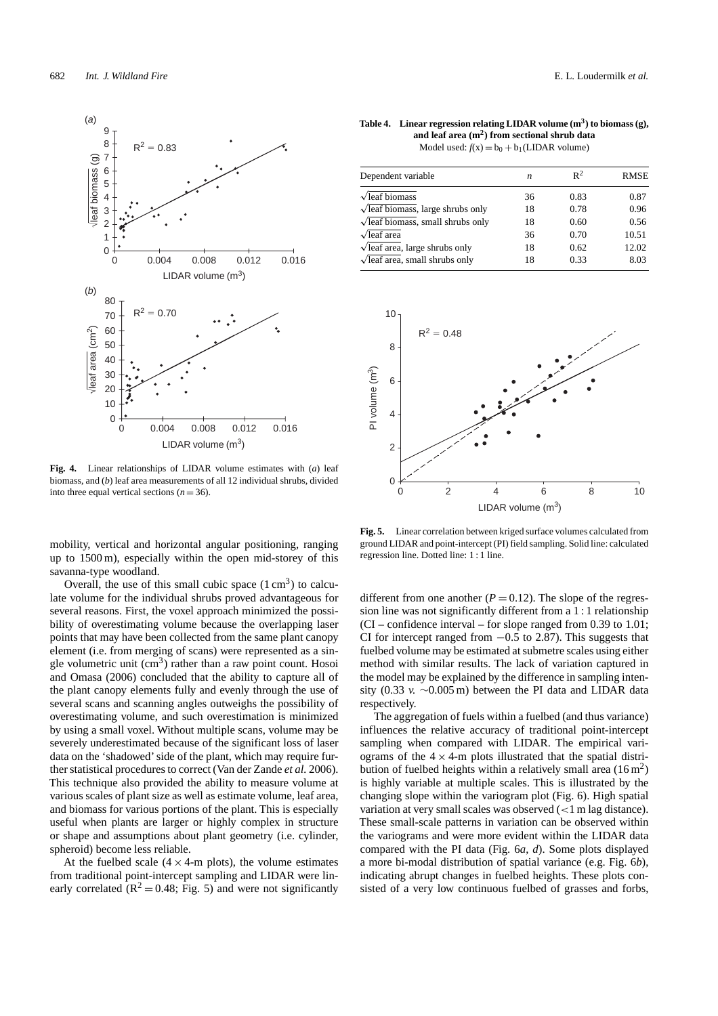

**Fig. 4.** Linear relationships of LIDAR volume estimates with (*a*) leaf biomass, and (*b*) leaf area measurements of all 12 individual shrubs, divided into three equal vertical sections  $(n = 36)$ .

mobility, vertical and horizontal angular positioning, ranging up to 1500 m), especially within the open mid-storey of this savanna-type woodland.

Overall, the use of this small cubic space  $(1 \text{ cm}^3)$  to calculate volume for the individual shrubs proved advantageous for several reasons. First, the voxel approach minimized the possibility of overestimating volume because the overlapping laser points that may have been collected from the same plant canopy element (i.e. from merging of scans) were represented as a single volumetric unit  $(cm<sup>3</sup>)$  rather than a raw point count. Hosoi and Omasa (2006) concluded that the ability to capture all of the plant canopy elements fully and evenly through the use of several scans and scanning angles outweighs the possibility of overestimating volume, and such overestimation is minimized by using a small voxel. Without multiple scans, volume may be severely underestimated because of the significant loss of laser data on the 'shadowed' side of the plant, which may require further statistical procedures to correct (Van der Zande *et al.* 2006). This technique also provided the ability to measure volume at various scales of plant size as well as estimate volume, leaf area, and biomass for various portions of the plant. This is especially useful when plants are larger or highly complex in structure or shape and assumptions about plant geometry (i.e. cylinder, spheroid) become less reliable.

At the fuelbed scale  $(4 \times 4$ -m plots), the volume estimates from traditional point-intercept sampling and LIDAR were linearly correlated ( $\mathbb{R}^2 = 0.48$ ; Fig. 5) and were not significantly

Table 4. Linear regression relating LIDAR volume  $(m^3)$  to biomass  $(g)$ , **and leaf area (m2) from sectional shrub data** Model used:  $f(x) = b_0 + b_1(LIDAR$  volume)

| Dependent variable                              | n  | $R^2$ | <b>RMSE</b> |
|-------------------------------------------------|----|-------|-------------|
| $\sqrt{\text{leaf}}$ biomass                    | 36 | 0.83  | 0.87        |
| $\sqrt{\text{leaf}}$ biomass, large shrubs only | 18 | 0.78  | 0.96        |
| $\sqrt{\text{leaf}}$ biomass, small shrubs only | 18 | 0.60  | 0.56        |
| $\sqrt{\text{leaf area}}$                       | 36 | 0.70  | 10.51       |
| $\sqrt{\text{leaf}}$ area, large shrubs only    | 18 | 0.62  | 12.02       |
| $\sqrt{\text{leaf area}}$ , small shrubs only   | 18 | 0.33  | 8.03        |



**Fig. 5.** Linear correlation between kriged surface volumes calculated from ground LIDAR and point-intercept (PI) field sampling. Solid line: calculated regression line. Dotted line: 1 : 1 line.

different from one another  $(P = 0.12)$ . The slope of the regression line was not significantly different from a 1 : 1 relationship (CI – confidence interval – for slope ranged from 0.39 to 1.01; CI for intercept ranged from −0.5 to 2.87). This suggests that fuelbed volume may be estimated at submetre scales using either method with similar results. The lack of variation captured in the model may be explained by the difference in sampling intensity (0.33 *v.* ∼0.005 m) between the PI data and LIDAR data respectively.

The aggregation of fuels within a fuelbed (and thus variance) influences the relative accuracy of traditional point-intercept sampling when compared with LIDAR. The empirical variograms of the  $4 \times 4$ -m plots illustrated that the spatial distribution of fuelbed heights within a relatively small area  $(16 \text{ m}^2)$ is highly variable at multiple scales. This is illustrated by the changing slope within the variogram plot (Fig. 6). High spatial variation at very small scales was observed (*<*1 m lag distance). These small-scale patterns in variation can be observed within the variograms and were more evident within the LIDAR data compared with the PI data (Fig. 6*a*, *d*). Some plots displayed a more bi-modal distribution of spatial variance (e.g. Fig. 6*b*), indicating abrupt changes in fuelbed heights. These plots consisted of a very low continuous fuelbed of grasses and forbs,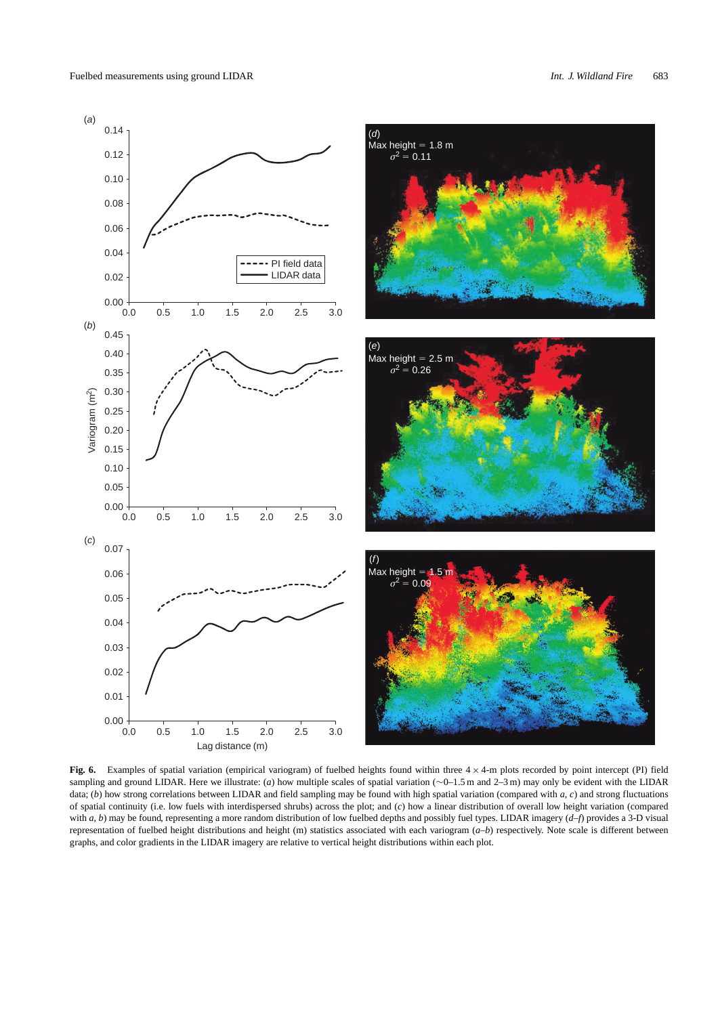

**Fig. 6.** Examples of spatial variation (empirical variogram) of fuelbed heights found within three 4 × 4-m plots recorded by point intercept (PI) field sampling and ground LIDAR. Here we illustrate: (*a*) how multiple scales of spatial variation (∼0–1.5 m and 2–3 m) may only be evident with the LIDAR data; (*b*) how strong correlations between LIDAR and field sampling may be found with high spatial variation (compared with *a*, *c*) and strong fluctuations of spatial continuity (i.e. low fuels with interdispersed shrubs) across the plot; and (*c*) how a linear distribution of overall low height variation (compared with *a*, *b*) may be found, representing a more random distribution of low fuelbed depths and possibly fuel types. LIDAR imagery (*d*–*f*) provides a 3-D visual representation of fuelbed height distributions and height (m) statistics associated with each variogram (*a*–*b*) respectively. Note scale is different between graphs, and color gradients in the LIDAR imagery are relative to vertical height distributions within each plot.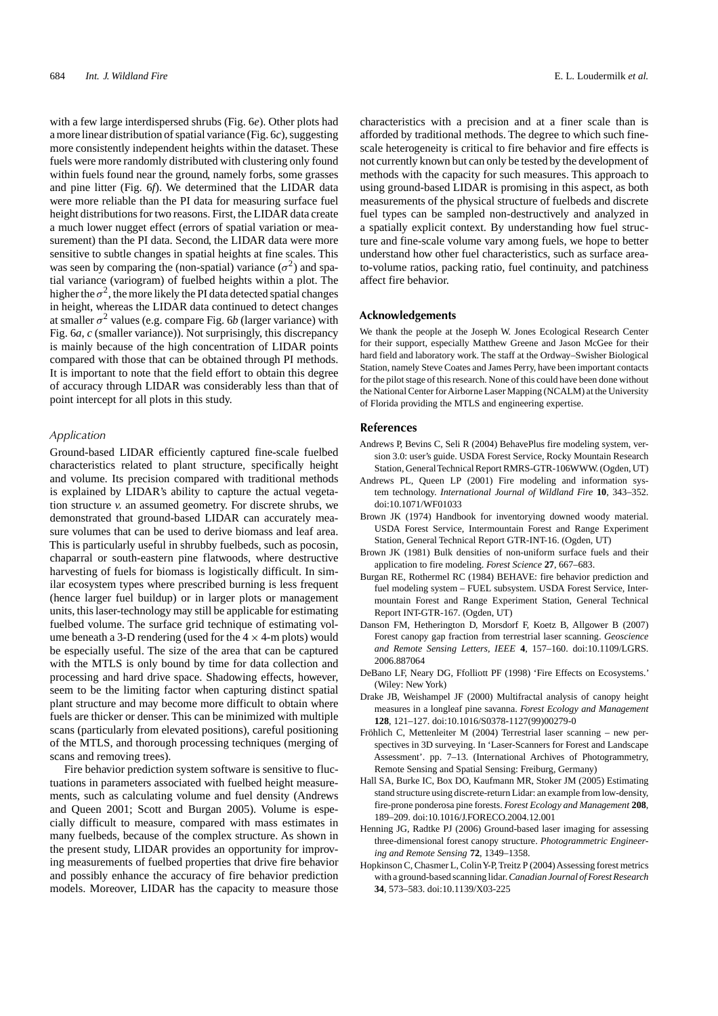with a few large interdispersed shrubs (Fig. 6*e*). Other plots had a more linear distribution of spatial variance (Fig. 6*c*), suggesting more consistently independent heights within the dataset. These fuels were more randomly distributed with clustering only found within fuels found near the ground, namely forbs, some grasses and pine litter (Fig. 6*f*). We determined that the LIDAR data were more reliable than the PI data for measuring surface fuel height distributions for two reasons. First, the LIDAR data create a much lower nugget effect (errors of spatial variation or measurement) than the PI data. Second, the LIDAR data were more sensitive to subtle changes in spatial heights at fine scales. This was seen by comparing the (non-spatial) variance  $(\sigma^2)$  and spatial variance (variogram) of fuelbed heights within a plot. The higher the  $\sigma^2$ , the more likely the PI data detected spatial changes in height, whereas the LIDAR data continued to detect changes at smaller  $\sigma^2$  values (e.g. compare Fig. 6*b* (larger variance) with Fig. 6*a*, *c* (smaller variance)). Not surprisingly, this discrepancy is mainly because of the high concentration of LIDAR points compared with those that can be obtained through PI methods. It is important to note that the field effort to obtain this degree of accuracy through LIDAR was considerably less than that of point intercept for all plots in this study.

#### *Application*

Ground-based LIDAR efficiently captured fine-scale fuelbed characteristics related to plant structure, specifically height and volume. Its precision compared with traditional methods is explained by LIDAR's ability to capture the actual vegetation structure *v.* an assumed geometry. For discrete shrubs, we demonstrated that ground-based LIDAR can accurately measure volumes that can be used to derive biomass and leaf area. This is particularly useful in shrubby fuelbeds, such as pocosin, chaparral or south-eastern pine flatwoods, where destructive harvesting of fuels for biomass is logistically difficult. In similar ecosystem types where prescribed burning is less frequent (hence larger fuel buildup) or in larger plots or management units, this laser-technology may still be applicable for estimating fuelbed volume. The surface grid technique of estimating volume beneath a 3-D rendering (used for the  $4 \times 4$ -m plots) would be especially useful. The size of the area that can be captured with the MTLS is only bound by time for data collection and processing and hard drive space. Shadowing effects, however, seem to be the limiting factor when capturing distinct spatial plant structure and may become more difficult to obtain where fuels are thicker or denser. This can be minimized with multiple scans (particularly from elevated positions), careful positioning of the MTLS, and thorough processing techniques (merging of scans and removing trees).

Fire behavior prediction system software is sensitive to fluctuations in parameters associated with fuelbed height measurements, such as calculating volume and fuel density (Andrews and Queen 2001; Scott and Burgan 2005). Volume is especially difficult to measure, compared with mass estimates in many fuelbeds, because of the complex structure. As shown in the present study, LIDAR provides an opportunity for improving measurements of fuelbed properties that drive fire behavior and possibly enhance the accuracy of fire behavior prediction models. Moreover, LIDAR has the capacity to measure those

characteristics with a precision and at a finer scale than is afforded by traditional methods. The degree to which such finescale heterogeneity is critical to fire behavior and fire effects is not currently known but can only be tested by the development of methods with the capacity for such measures. This approach to using ground-based LIDAR is promising in this aspect, as both measurements of the physical structure of fuelbeds and discrete fuel types can be sampled non-destructively and analyzed in a spatially explicit context. By understanding how fuel structure and fine-scale volume vary among fuels, we hope to better understand how other fuel characteristics, such as surface areato-volume ratios, packing ratio, fuel continuity, and patchiness affect fire behavior.

#### **Acknowledgements**

We thank the people at the Joseph W. Jones Ecological Research Center for their support, especially Matthew Greene and Jason McGee for their hard field and laboratory work. The staff at the Ordway–Swisher Biological Station, namely Steve Coates and James Perry, have been important contacts for the pilot stage of this research. None of this could have been done without the National Center for Airborne Laser Mapping (NCALM) at the University of Florida providing the MTLS and engineering expertise.

#### **References**

- Andrews P, Bevins C, Seli R (2004) BehavePlus fire modeling system, version 3.0: user's guide. USDA Forest Service, Rocky Mountain Research Station, GeneralTechnical Report RMRS-GTR-106WWW. (Ogden, UT)
- Andrews PL, Queen LP (2001) Fire modeling and information system technology. *International Journal of Wildland Fire* **10**, 343–352. doi:10.1071/WF01033
- Brown JK (1974) Handbook for inventorying downed woody material. USDA Forest Service, Intermountain Forest and Range Experiment Station, General Technical Report GTR-INT-16. (Ogden, UT)
- Brown JK (1981) Bulk densities of non-uniform surface fuels and their application to fire modeling. *Forest Science* **27**, 667–683.
- Burgan RE, Rothermel RC (1984) BEHAVE: fire behavior prediction and fuel modeling system – FUEL subsystem. USDA Forest Service, Intermountain Forest and Range Experiment Station, General Technical Report INT-GTR-167. (Ogden, UT)
- Danson FM, Hetherington D, Morsdorf F, Koetz B, Allgower B (2007) Forest canopy gap fraction from terrestrial laser scanning. *Geoscience and Remote Sensing Letters, IEEE* **4**, 157–160. doi:10.1109/LGRS. 2006.887064
- DeBano LF, Neary DG, Ffolliott PF (1998) 'Fire Effects on Ecosystems.' (Wiley: New York)
- Drake JB, Weishampel JF (2000) Multifractal analysis of canopy height measures in a longleaf pine savanna. *Forest Ecology and Management* **128**, 121–127. doi:10.1016/S0378-1127(99)00279-0
- Fröhlich C, Mettenleiter M (2004) Terrestrial laser scanning new perspectives in 3D surveying. In 'Laser-Scanners for Forest and Landscape Assessment'. pp. 7–13. (International Archives of Photogrammetry, Remote Sensing and Spatial Sensing: Freiburg, Germany)
- Hall SA, Burke IC, Box DO, Kaufmann MR, Stoker JM (2005) Estimating stand structure using discrete-return Lidar: an example from low-density, fire-prone ponderosa pine forests. *Forest Ecology and Management* **208**, 189–209. doi:10.1016/J.FORECO.2004.12.001
- Henning JG, Radtke PJ (2006) Ground-based laser imaging for assessing three-dimensional forest canopy structure. *Photogrammetric Engineering and Remote Sensing* **72**, 1349–1358.
- Hopkinson C, Chasmer L, Colin Y-P, Treitz P (2004) Assessing forest metrics with a ground-based scanning lidar.*Canadian Journal of Forest Research* **34**, 573–583. doi:10.1139/X03-225